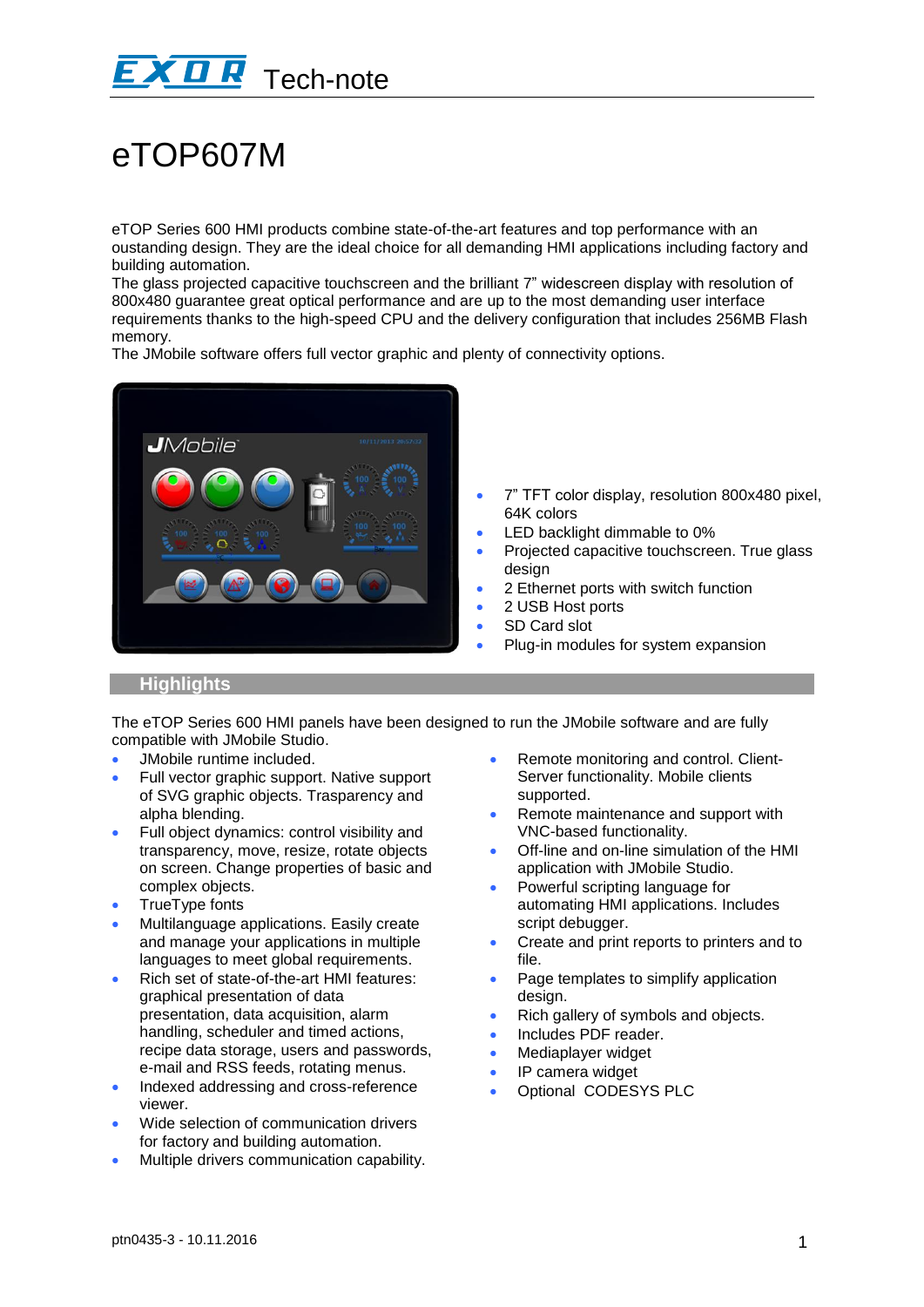

# eTOP607M

eTOP Series 600 HMI products combine state-of-the-art features and top performance with an oustanding design. They are the ideal choice for all demanding HMI applications including factory and building automation.

The glass projected capacitive touchscreen and the brilliant 7" widescreen display with resolution of 800x480 guarantee great optical performance and are up to the most demanding user interface requirements thanks to the high-speed CPU and the delivery configuration that includes 256MB Flash memory.

The JMobile software offers full vector graphic and plenty of connectivity options.



- 7" TFT color display, resolution 800x480 pixel, 64K colors
- LED backlight dimmable to 0%
- Projected capacitive touchscreen. True glass design
- 2 Ethernet ports with switch function
- 2 USB Host ports
- SD Card slot
- Plug-in modules for system expansion

### **Highlights**

The eTOP Series 600 HMI panels have been designed to run the JMobile software and are fully compatible with JMobile Studio.

- JMobile runtime included.
- Full vector graphic support. Native support of SVG graphic objects. Trasparency and alpha blending.
- Full object dynamics: control visibility and transparency, move, resize, rotate objects on screen. Change properties of basic and complex objects.
- TrueType fonts
- Multilanguage applications. Easily create and manage your applications in multiple languages to meet global requirements.
- Rich set of state-of-the-art HMI features: graphical presentation of data presentation, data acquisition, alarm handling, scheduler and timed actions, recipe data storage, users and passwords, e-mail and RSS feeds, rotating menus.
- Indexed addressing and cross-reference viewer.
- Wide selection of communication drivers for factory and building automation.
- Multiple drivers communication capability.
- Remote monitoring and control. Client-Server functionality. Mobile clients supported.
- Remote maintenance and support with VNC-based functionality.
- Off-line and on-line simulation of the HMI application with JMobile Studio.
- Powerful scripting language for automating HMI applications. Includes script debugger.
- Create and print reports to printers and to file.
- Page templates to simplify application design.
- Rich gallery of symbols and objects.
- Includes PDF reader.
- Mediaplayer widget
- IP camera widget
- Optional CODESYS PLC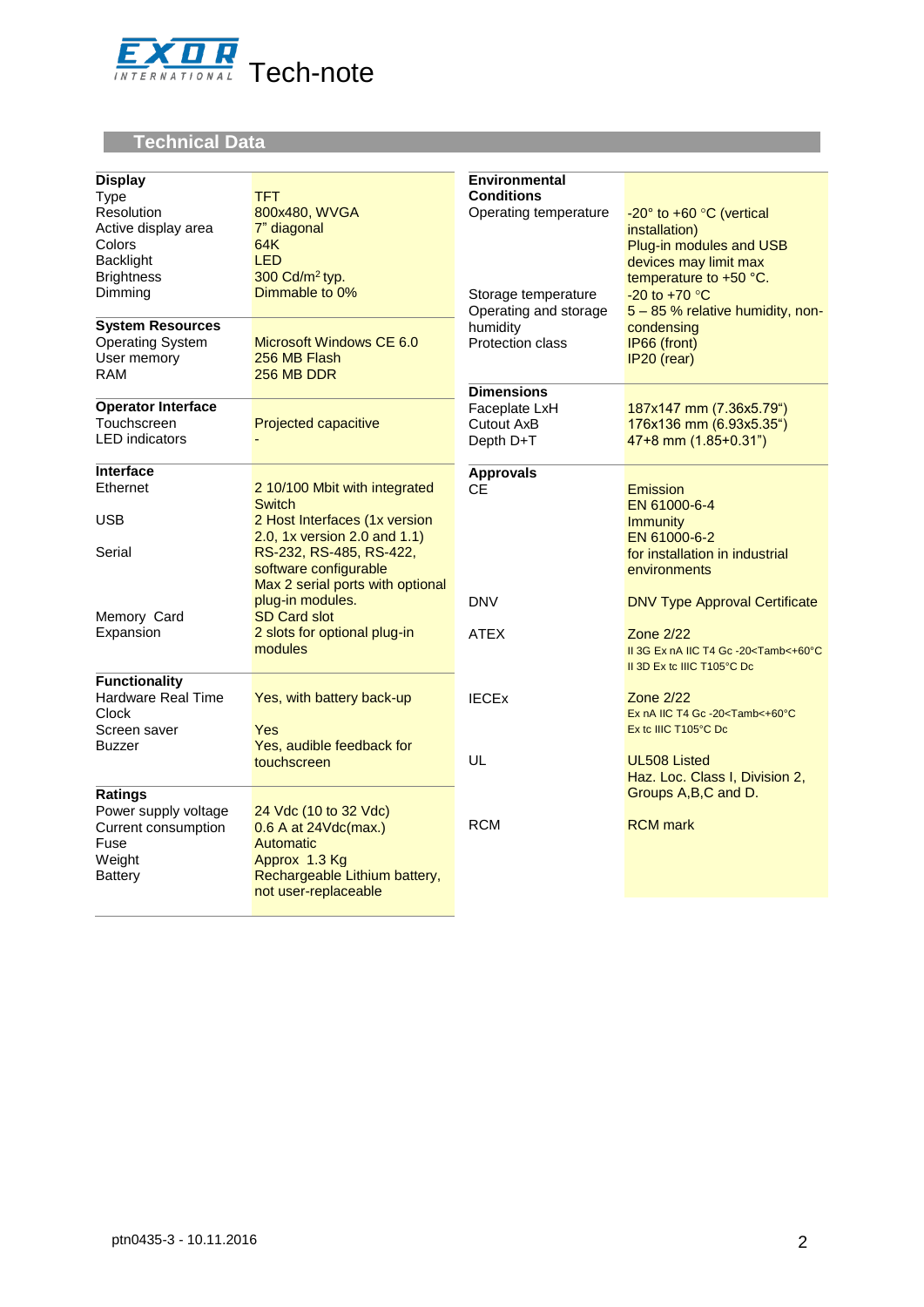

# **Technical Data**

| <b>Display</b><br><b>Type</b><br>Resolution<br>Active display area<br>Colors<br><b>Backlight</b><br><b>Brightness</b><br>Dimming<br><b>System Resources</b> | <b>TFT</b><br>800x480, WVGA<br>7" diagonal<br>64K<br><b>LED</b><br>300 Cd/m <sup>2</sup> typ.<br>Dimmable to 0%                                                                                         | <b>Environmental</b><br><b>Conditions</b><br>Operating temperature<br>Storage temperature<br>Operating and storage<br>humidity | -20° to +60 °C (vertical<br>installation)<br>Plug-in modules and USB<br>devices may limit max<br>temperature to +50 °C.<br>$-20$ to $+70$ °C<br>5 - 85 % relative humidity, non-<br>condensing |
|-------------------------------------------------------------------------------------------------------------------------------------------------------------|---------------------------------------------------------------------------------------------------------------------------------------------------------------------------------------------------------|--------------------------------------------------------------------------------------------------------------------------------|------------------------------------------------------------------------------------------------------------------------------------------------------------------------------------------------|
| <b>Operating System</b><br>User memory<br><b>RAM</b>                                                                                                        | Microsoft Windows CE 6.0<br>256 MB Flash<br>256 MB DDR                                                                                                                                                  | Protection class<br><b>Dimensions</b>                                                                                          | IP66 (front)<br>IP20 (rear)                                                                                                                                                                    |
| <b>Operator Interface</b><br>Touchscreen<br><b>LED</b> indicators                                                                                           | Projected capacitive                                                                                                                                                                                    | Faceplate LxH<br>Cutout AxB<br>Depth D+T                                                                                       | 187x147 mm (7.36x5.79")<br>176x136 mm (6.93x5.35")<br>47+8 mm (1.85+0.31")                                                                                                                     |
| <b>Interface</b>                                                                                                                                            |                                                                                                                                                                                                         | <b>Approvals</b>                                                                                                               |                                                                                                                                                                                                |
| Ethernet<br><b>USB</b><br>Serial                                                                                                                            | 2 10/100 Mbit with integrated<br><b>Switch</b><br>2 Host Interfaces (1x version<br>2.0, 1x version 2.0 and 1.1)<br>RS-232, RS-485, RS-422,<br>software configurable<br>Max 2 serial ports with optional | <b>CE</b>                                                                                                                      | Emission<br>EN 61000-6-4<br><i>Immunity</i><br>EN 61000-6-2<br>for installation in industrial<br>environments                                                                                  |
| Memory Card<br>Expansion                                                                                                                                    | plug-in modules.<br><b>SD Card slot</b><br>2 slots for optional plug-in<br>modules                                                                                                                      | <b>DNV</b><br><b>ATEX</b>                                                                                                      | <b>DNV Type Approval Certificate</b><br><b>Zone 2/22</b><br>II 3G Ex nA IIC T4 Gc -20 <tamb<+60°c<br>II 3D Ex to IIIC T105°C Do</tamb<+60°c<br>                                                |
| <b>Functionality</b><br><b>Hardware Real Time</b><br>Clock<br>Screen saver<br><b>Buzzer</b>                                                                 | Yes, with battery back-up<br>Yes<br>Yes, audible feedback for                                                                                                                                           | <b>IECEX</b>                                                                                                                   | <b>Zone 2/22</b><br>Ex nA IIC T4 Gc -20 <tamb<+60°c<br>Ex to IIIC T105°C Do</tamb<+60°c<br>                                                                                                    |
| <b>Ratings</b>                                                                                                                                              | touchscreen                                                                                                                                                                                             | UL                                                                                                                             | <b>UL508 Listed</b><br>Haz. Loc. Class I, Division 2,<br>Groups A, B, C and D.                                                                                                                 |
| Power supply voltage<br>Current consumption<br>Fuse<br>Weight<br><b>Battery</b>                                                                             | 24 Vdc (10 to 32 Vdc)<br>0.6 A at 24Vdc(max.)<br>Automatic<br>Approx 1.3 Kg<br>Rechargeable Lithium battery,<br>not user-replaceable                                                                    | <b>RCM</b>                                                                                                                     | <b>RCM</b> mark                                                                                                                                                                                |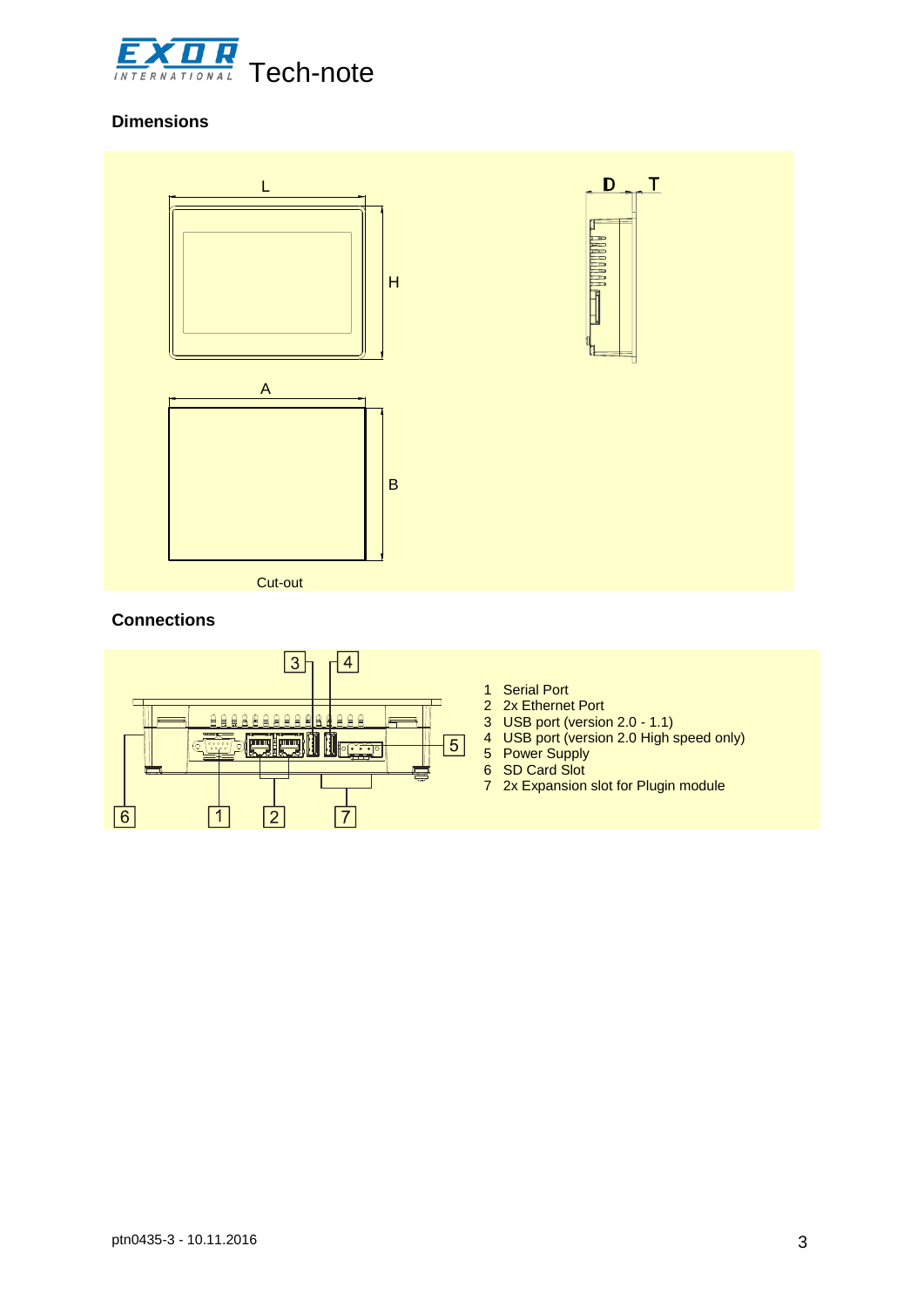

## **Dimensions**



#### **Connections**



- 1 Serial Port
- 2 2x Ethernet Port
- 3 USB port (version 2.0 1.1)
- 4 USB port (version 2.0 High speed only)
- 5 Power Supply
- 6 SD Card Slot
- 7 2x Expansion slot for Plugin module